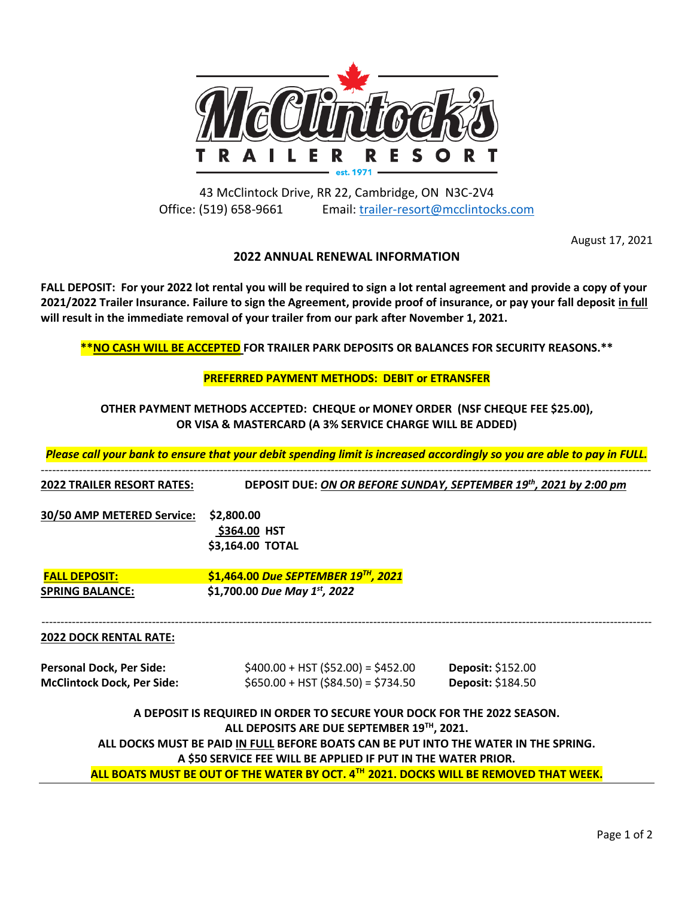

43 McClintock Drive, RR 22, Cambridge, ON N3C-2V4 Office: (519) 658-9661 Email: [trailer-resort@mcclintocks.com](mailto:trailer-resort@mcclintocks.com)

August 17, 2021

# **2022 ANNUAL RENEWAL INFORMATION**

**FALL DEPOSIT: For your 2022 lot rental you will be required to sign a lot rental agreement and provide a copy of your 2021/2022 Trailer Insurance. Failure to sign the Agreement, provide proof of insurance, or pay your fall deposit in full will result in the immediate removal of your trailer from our park after November 1, 2021.**

**\*\*NO CASH WILL BE ACCEPTED FOR TRAILER PARK DEPOSITS OR BALANCES FOR SECURITY REASONS.\*\***

### **PREFERRED PAYMENT METHODS: DEBIT or ETRANSFER**

**OTHER PAYMENT METHODS ACCEPTED: CHEQUE or MONEY ORDER (NSF CHEQUE FEE \$25.00), OR VISA & MASTERCARD (A 3% SERVICE CHARGE WILL BE ADDED)**

*Please call your bank to ensure that your debit spending limit is increased accordingly so you are able to pay in FULL.*

| <b>2022 TRAILER RESORT RATES:</b> | DEPOSIT DUE: ON OR BEFORE SUNDAY, SEPTEMBER 19th, 2021 by 2:00 pm                     |                   |
|-----------------------------------|---------------------------------------------------------------------------------------|-------------------|
| 30/50 AMP METERED Service:        | \$2,800.00                                                                            |                   |
|                                   | \$364.00 HST                                                                          |                   |
|                                   | \$3,164.00 TOTAL                                                                      |                   |
| <b>FALL DEPOSIT:</b>              | \$1,464.00 Due SEPTEMBER 19™, 2021                                                    |                   |
| <b>SPRING BALANCE:</b>            | \$1,700.00 Due May $1^{st}$ , 2022                                                    |                   |
| <b>2022 DOCK RENTAL RATE:</b>     |                                                                                       |                   |
| <b>Personal Dock, Per Side:</b>   | $$400.00 + HST ($52.00) = $452.00$                                                    | Deposit: \$152.00 |
| <b>McClintock Dock, Per Side:</b> | $$650.00 + HST ($84.50) = $734.50$                                                    | Deposit: \$184.50 |
|                                   | A DEPOSIT IS REQUIRED IN ORDER TO SECURE YOUR DOCK FOR THE 2022 SEASON.               |                   |
|                                   | ALL DEPOSITS ARE DUE SEPTEMBER 19TH, 2021.                                            |                   |
|                                   | ALL DOCKS MUST BE PAID IN FULL BEFORE BOATS CAN BE PUT INTO THE WATER IN THE SPRING.  |                   |
|                                   | A \$50 SERVICE FEE WILL BE APPLIED IF PUT IN THE WATER PRIOR.                         |                   |
|                                   | ALL BOATS MUST BE OUT OF THE WATER BY OCT. 4TH 2021. DOCKS WILL BE REMOVED THAT WEEK. |                   |